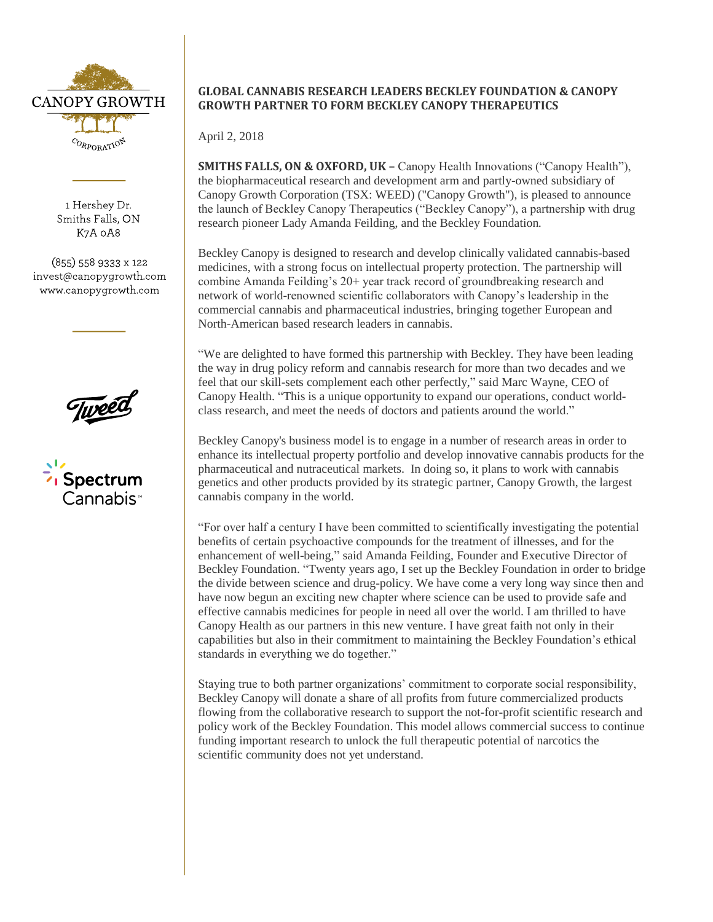

1 Hershey Dr. Smiths Falls, ON K7A 0A8

 $(855)$  558 9333 x 122 invest@canopygrowth.com www.canopygrowth.com

Spectrum Cannahis<sup>,</sup>

# **GLOBAL CANNABIS RESEARCH LEADERS BECKLEY FOUNDATION & CANOPY GROWTH PARTNER TO FORM BECKLEY CANOPY THERAPEUTICS**

April 2, 2018

**SMITHS FALLS, ON & OXFORD, UK –** Canopy Health Innovations ("Canopy Health"), the biopharmaceutical research and development arm and partly-owned subsidiary of Canopy Growth Corporation (TSX: WEED) ("Canopy Growth"), is pleased to announce the launch of Beckley Canopy Therapeutics ("Beckley Canopy"), a partnership with drug research pioneer Lady Amanda Feilding, and the Beckley Foundation*.* 

Beckley Canopy is designed to research and develop clinically validated cannabis-based medicines, with a strong focus on intellectual property protection. The partnership will combine Amanda Feilding's 20+ year track record of groundbreaking research and network of world-renowned scientific collaborators with Canopy's leadership in the commercial cannabis and pharmaceutical industries, bringing together European and North-American based research leaders in cannabis.

"We are delighted to have formed this partnership with Beckley. They have been leading the way in drug policy reform and cannabis research for more than two decades and we feel that our skill-sets complement each other perfectly," said Marc Wayne, CEO of Canopy Health. "This is a unique opportunity to expand our operations, conduct worldclass research, and meet the needs of doctors and patients around the world."

Beckley Canopy's business model is to engage in a number of research areas in order to enhance its intellectual property portfolio and develop innovative cannabis products for the pharmaceutical and nutraceutical markets. In doing so, it plans to work with cannabis genetics and other products provided by its strategic partner, Canopy Growth, the largest cannabis company in the world.

"For over half a century I have been committed to scientifically investigating the potential benefits of certain psychoactive compounds for the treatment of illnesses, and for the enhancement of well-being," said Amanda Feilding, Founder and Executive Director of Beckley Foundation. "Twenty years ago, I set up the Beckley Foundation in order to bridge the divide between science and drug-policy. We have come a very long way since then and have now begun an exciting new chapter where science can be used to provide safe and effective cannabis medicines for people in need all over the world. I am thrilled to have Canopy Health as our partners in this new venture. I have great faith not only in their capabilities but also in their commitment to maintaining the Beckley Foundation's ethical standards in everything we do together."

Staying true to both partner organizations' commitment to corporate social responsibility, Beckley Canopy will donate a share of all profits from future commercialized products flowing from the collaborative research to support the not-for-profit scientific research and policy work of the Beckley Foundation. This model allows commercial success to continue funding important research to unlock the full therapeutic potential of narcotics the scientific community does not yet understand.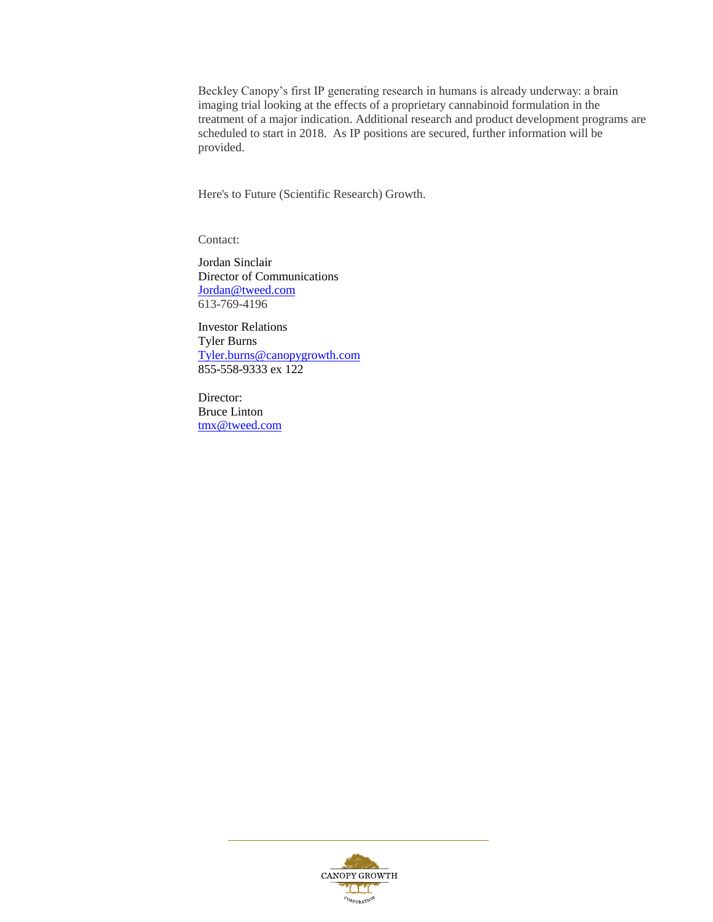Beckley Canopy's first IP generating research in humans is already underway: a brain imaging trial looking at the effects of a proprietary cannabinoid formulation in the treatment of a major indication. Additional research and product development programs are scheduled to start in 2018. As IP positions are secured, further information will be provided.

Here's to Future (Scientific Research) Growth.

Contact:

Jordan Sinclair Director of Communications [Jordan@tweed.com](mailto:Jordan@tweed.com) 613-769-4196

Investor Relations Tyler Burns [Tyler.burns@canopygrowth.com](mailto:Tyler.burns@canopygrowth.com) 855-558-9333 ex 122

Director: Bruce Linton [tmx@tweed.com](mailto:tmx@tweed.com)